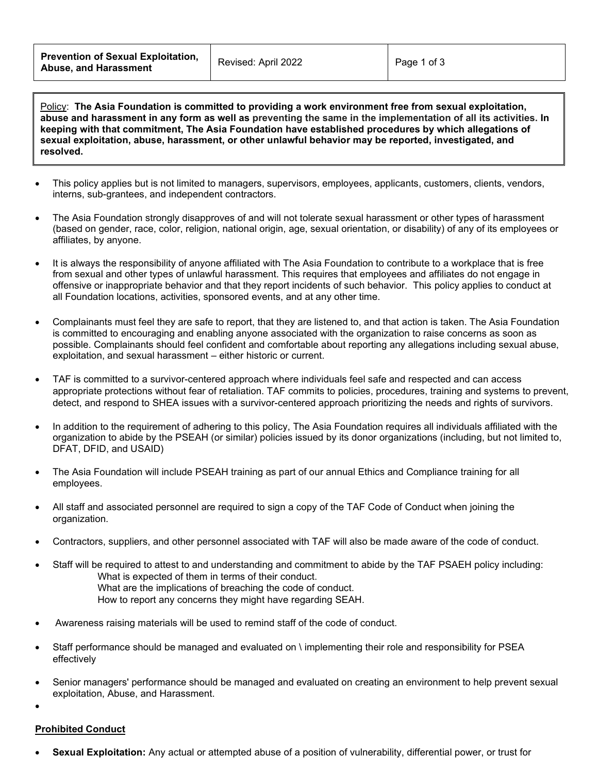Policy: **The Asia Foundation is committed to providing a work environment free from sexual exploitation, abuse and harassment in any form as well as preventing the same in the implementation of all its activities. In keeping with that commitment, The Asia Foundation have established procedures by which allegations of sexual exploitation, abuse, harassment, or other unlawful behavior may be reported, investigated, and resolved.**

- This policy applies but is not limited to managers, supervisors, employees, applicants, customers, clients, vendors, interns, sub-grantees, and independent contractors.
- The Asia Foundation strongly disapproves of and will not tolerate sexual harassment or other types of harassment (based on gender, race, color, religion, national origin, age, sexual orientation, or disability) of any of its employees or affiliates, by anyone.
- It is always the responsibility of anyone affiliated with The Asia Foundation to contribute to a workplace that is free from sexual and other types of unlawful harassment. This requires that employees and affiliates do not engage in offensive or inappropriate behavior and that they report incidents of such behavior. This policy applies to conduct at all Foundation locations, activities, sponsored events, and at any other time.
- Complainants must feel they are safe to report, that they are listened to, and that action is taken. The Asia Foundation is committed to encouraging and enabling anyone associated with the organization to raise concerns as soon as possible. Complainants should feel confident and comfortable about reporting any allegations including sexual abuse, exploitation, and sexual harassment – either historic or current.
- TAF is committed to a survivor-centered approach where individuals feel safe and respected and can access appropriate protections without fear of retaliation. TAF commits to policies, procedures, training and systems to prevent, detect, and respond to SHEA issues with a survivor-centered approach prioritizing the needs and rights of survivors.
- In addition to the requirement of adhering to this policy, The Asia Foundation requires all individuals affiliated with the organization to abide by the PSEAH (or similar) policies issued by its donor organizations (including, but not limited to, DFAT, DFID, and USAID)
- The Asia Foundation will include PSEAH training as part of our annual Ethics and Compliance training for all employees.
- All staff and associated personnel are required to sign a copy of the TAF Code of Conduct when joining the organization.
- Contractors, suppliers, and other personnel associated with TAF will also be made aware of the code of conduct.
- Staff will be required to attest to and understanding and commitment to abide by the TAF PSAEH policy including: What is expected of them in terms of their conduct.
	- What are the implications of breaching the code of conduct.
	- How to report any concerns they might have regarding SEAH.
- Awareness raising materials will be used to remind staff of the code of conduct.
- Staff performance should be managed and evaluated on \ implementing their role and responsibility for PSEA effectively
- Senior managers' performance should be managed and evaluated on creating an environment to help prevent sexual exploitation, Abuse, and Harassment.
- •

# **Prohibited Conduct**

• **Sexual Exploitation:** Any actual or attempted abuse of a position of vulnerability, differential power, or trust for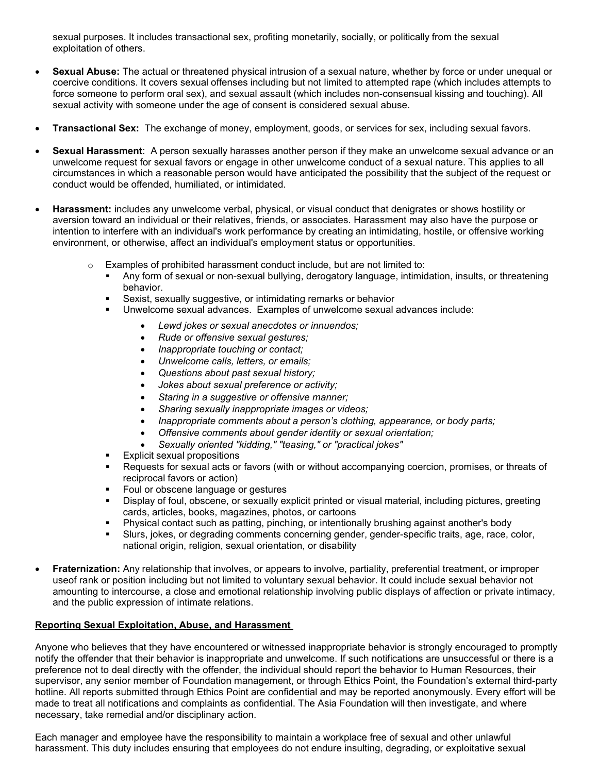sexual purposes. It includes transactional sex, profiting monetarily, socially, or politically from the sexual exploitation of others.

- **Sexual Abuse:** The actual or threatened physical intrusion of a sexual nature, whether by force or under unequal or coercive conditions. It covers sexual offenses including but not limited to attempted rape (which includes attempts to force someone to perform oral sex), and sexual assault (which includes non-consensual kissing and touching). All sexual activity with someone under the age of consent is considered sexual abuse.
- **Transactional Sex:** The exchange of money, employment, goods, or services for sex, including sexual favors.
- **Sexual Harassment**: A person sexually harasses another person if they make an unwelcome sexual advance or an unwelcome request for sexual favors or engage in other unwelcome conduct of a sexual nature. This applies to all circumstances in which a reasonable person would have anticipated the possibility that the subject of the request or conduct would be offended, humiliated, or intimidated.
- **Harassment:** includes any unwelcome verbal, physical, or visual conduct that denigrates or shows hostility or aversion toward an individual or their relatives, friends, or associates. Harassment may also have the purpose or intention to interfere with an individual's work performance by creating an intimidating, hostile, or offensive working environment, or otherwise, affect an individual's employment status or opportunities.
	- $\circ$  Examples of prohibited harassment conduct include, but are not limited to:
		- Any form of sexual or non-sexual bullying, derogatory language, intimidation, insults, or threatening behavior.
		- Sexist, sexually suggestive, or intimidating remarks or behavior
		- Unwelcome sexual advances. Examples of unwelcome sexual advances include:
			- *Lewd jokes or sexual anecdotes or innuendos;*
			- *Rude or offensive sexual gestures;*
			- *Inappropriate touching or contact;*
			- *Unwelcome calls, letters, or emails;*
			- *Questions about past sexual history;*
			- *Jokes about sexual preference or activity;*
			- *Staring in a suggestive or offensive manner;*
			- *Sharing sexually inappropriate images or videos;*
			- *Inappropriate comments about a person's clothing, appearance, or body parts;*
			- *Offensive comments about gender identity or sexual orientation;*
			- *Sexually oriented "kidding," "teasing," or "practical jokes"*
		- **Explicit sexual propositions**
		- Requests for sexual acts or favors (with or without accompanying coercion, promises, or threats of reciprocal favors or action)
		- Foul or obscene language or gestures
		- Display of foul, obscene, or sexually explicit printed or visual material, including pictures, greeting cards, articles, books, magazines, photos, or cartoons
		- Physical contact such as patting, pinching, or intentionally brushing against another's body
		- Slurs, jokes, or degrading comments concerning gender, gender-specific traits, age, race, color, national origin, religion, sexual orientation, or disability
- **Fraternization:** Any relationship that involves, or appears to involve, partiality, preferential treatment, or improper useof rank or position including but not limited to voluntary sexual behavior. It could include sexual behavior not amounting to intercourse, a close and emotional relationship involving public displays of affection or private intimacy, and the public expression of intimate relations.

#### **Reporting Sexual Exploitation, Abuse, and Harassment**

Anyone who believes that they have encountered or witnessed inappropriate behavior is strongly encouraged to promptly notify the offender that their behavior is inappropriate and unwelcome. If such notifications are unsuccessful or there is a preference not to deal directly with the offender, the individual should report the behavior to Human Resources, their supervisor, any senior member of Foundation management, or through Ethics Point, the Foundation's external third-party hotline. All reports submitted through Ethics Point are confidential and may be reported anonymously. Every effort will be made to treat all notifications and complaints as confidential. The Asia Foundation will then investigate, and where necessary, take remedial and/or disciplinary action.

Each manager and employee have the responsibility to maintain a workplace free of sexual and other unlawful harassment. This duty includes ensuring that employees do not endure insulting, degrading, or exploitative sexual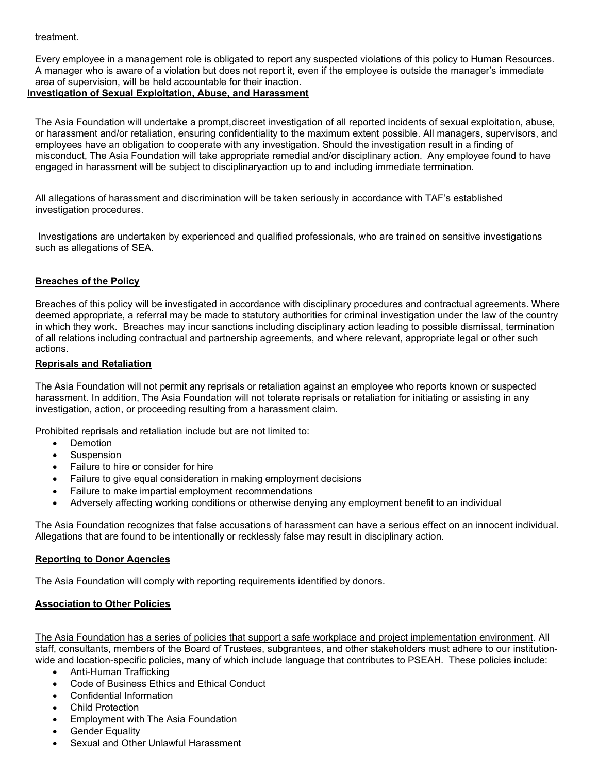#### treatment.

Every employee in a management role is obligated to report any suspected violations of this policy to Human Resources. A manager who is aware of a violation but does not report it, even if the employee is outside the manager's immediate area of supervision, will be held accountable for their inaction.

## **Investigation of Sexual Exploitation, Abuse, and Harassment**

The Asia Foundation will undertake a prompt,discreet investigation of all reported incidents of sexual exploitation, abuse, or harassment and/or retaliation, ensuring confidentiality to the maximum extent possible. All managers, supervisors, and employees have an obligation to cooperate with any investigation. Should the investigation result in a finding of misconduct, The Asia Foundation will take appropriate remedial and/or disciplinary action. Any employee found to have engaged in harassment will be subject to disciplinaryaction up to and including immediate termination.

All allegations of harassment and discrimination will be taken seriously in accordance with TAF's established investigation procedures.

Investigations are undertaken by experienced and qualified professionals, who are trained on sensitive investigations such as allegations of SEA.

# **Breaches of the Policy**

Breaches of this policy will be investigated in accordance with disciplinary procedures and contractual agreements. Where deemed appropriate, a referral may be made to statutory authorities for criminal investigation under the law of the country in which they work. Breaches may incur sanctions including disciplinary action leading to possible dismissal, termination of all relations including contractual and partnership agreements, and where relevant, appropriate legal or other such actions.

## **Reprisals and Retaliation**

The Asia Foundation will not permit any reprisals or retaliation against an employee who reports known or suspected harassment. In addition, The Asia Foundation will not tolerate reprisals or retaliation for initiating or assisting in any investigation, action, or proceeding resulting from a harassment claim.

Prohibited reprisals and retaliation include but are not limited to:

- **Demotion**
- **Suspension**
- Failure to hire or consider for hire
- Failure to give equal consideration in making employment decisions
- Failure to make impartial employment recommendations
- Adversely affecting working conditions or otherwise denying any employment benefit to an individual

The Asia Foundation recognizes that false accusations of harassment can have a serious effect on an innocent individual. Allegations that are found to be intentionally or recklessly false may result in disciplinary action.

#### **Reporting to Donor Agencies**

The Asia Foundation will comply with reporting requirements identified by donors.

# **Association to Other Policies**

The Asia Foundation has a series of policies that support a safe workplace and project implementation environment. All staff, consultants, members of the Board of Trustees, subgrantees, and other stakeholders must adhere to our institutionwide and location-specific policies, many of which include language that contributes to PSEAH. These policies include:

- Anti-Human Trafficking
- Code of Business Ethics and Ethical Conduct
- Confidential Information
- **Child Protection**
- Employment with The Asia Foundation
- **Gender Equality**
- Sexual and Other Unlawful Harassment